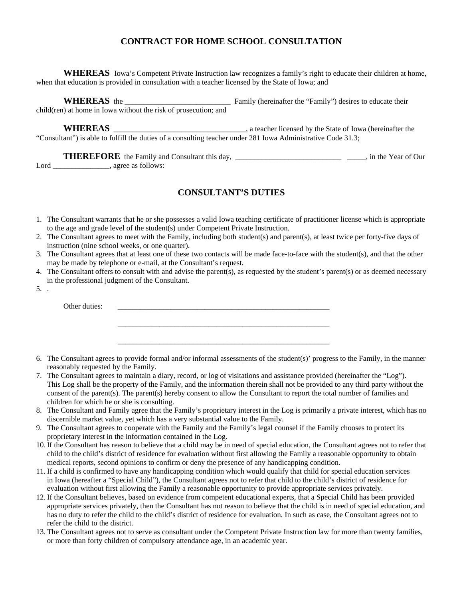## **CONTRACT FOR HOME SCHOOL CONSULTATION**

 **WHEREAS** Iowa's Competent Private Instruction law recognizes a family's right to educate their children at home, when that education is provided in consultation with a teacher licensed by the State of Iowa; and

**WHEREAS** the \_\_\_\_\_\_\_\_\_\_\_\_\_\_\_\_\_\_\_\_\_\_\_\_\_\_\_\_ Family (hereinafter the "Family") desires to educate their child(ren) at home in Iowa without the risk of prosecution; and

**WHEREAS** \_\_\_\_\_\_\_\_\_\_\_\_\_\_\_\_\_\_\_\_\_\_\_\_\_\_\_\_\_\_\_\_\_\_\_, a teacher licensed by the State of Iowa (hereinafter the "Consultant") is able to fulfill the duties of a consulting teacher under 281 Iowa Administrative Code 31.3;

**THEREFORE** the Family and Consultant this day, \_\_\_\_\_\_\_\_\_\_\_\_\_\_\_\_\_\_\_\_\_\_\_\_\_\_\_\_\_\_\_\_, in the Year of Our Lord \_\_\_\_\_\_\_\_\_\_\_\_\_\_\_\_, agree as follows:

## **CONSULTANT'S DUTIES**

- 1. The Consultant warrants that he or she possesses a valid Iowa teaching certificate of practitioner license which is appropriate to the age and grade level of the student(s) under Competent Private Instruction.
- 2. The Consultant agrees to meet with the Family, including both student(s) and parent(s), at least twice per forty-five days of instruction (nine school weeks, or one quarter).
- 3. The Consultant agrees that at least one of these two contacts will be made face-to-face with the student(s), and that the other may be made by telephone or e-mail, at the Consultant's request.
- 4. The Consultant offers to consult with and advise the parent(s), as requested by the student's parent(s) or as deemed necessary in the professional judgment of the Consultant.
- 5. .

Other duties:

6. The Consultant agrees to provide formal and/or informal assessments of the student(s)' progress to the Family, in the manner reasonably requested by the Family.

\_\_\_\_\_\_\_\_\_\_\_\_\_\_\_\_\_\_\_\_\_\_\_\_\_\_\_\_\_\_\_\_\_\_\_\_\_\_\_\_\_\_\_\_\_\_\_\_\_\_\_\_\_\_\_\_

\_\_\_\_\_\_\_\_\_\_\_\_\_\_\_\_\_\_\_\_\_\_\_\_\_\_\_\_\_\_\_\_\_\_\_\_\_\_\_\_\_\_\_\_\_\_\_\_\_\_\_\_\_\_\_\_

- 7. The Consultant agrees to maintain a diary, record, or log of visitations and assistance provided (hereinafter the "Log"). This Log shall be the property of the Family, and the information therein shall not be provided to any third party without the consent of the parent(s). The parent(s) hereby consent to allow the Consultant to report the total number of families and children for which he or she is consulting.
- 8. The Consultant and Family agree that the Family's proprietary interest in the Log is primarily a private interest, which has no discernible market value, yet which has a very substantial value to the Family.
- 9. The Consultant agrees to cooperate with the Family and the Family's legal counsel if the Family chooses to protect its proprietary interest in the information contained in the Log.
- 10. If the Consultant has reason to believe that a child may be in need of special education, the Consultant agrees not to refer that child to the child's district of residence for evaluation without first allowing the Family a reasonable opportunity to obtain medical reports, second opinions to confirm or deny the presence of any handicapping condition.
- 11. If a child is confirmed to have any handicapping condition which would qualify that child for special education services in Iowa (hereafter a "Special Child"), the Consultant agrees not to refer that child to the child's district of residence for evaluation without first allowing the Family a reasonable opportunity to provide appropriate services privately.
- 12. If the Consultant believes, based on evidence from competent educational experts, that a Special Child has been provided appropriate services privately, then the Consultant has not reason to believe that the child is in need of special education, and has no duty to refer the child to the child's district of residence for evaluation. In such as case, the Consultant agrees not to refer the child to the district.
- 13. The Consultant agrees not to serve as consultant under the Competent Private Instruction law for more than twenty families, or more than forty children of compulsory attendance age, in an academic year.